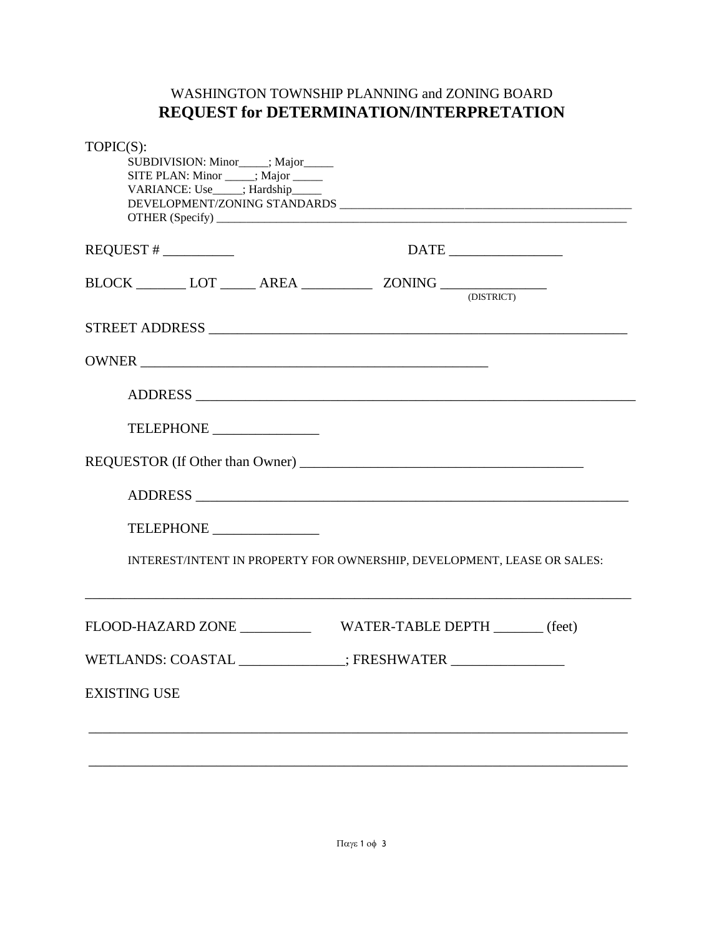# WASHINGTON TOWNSHIP PLANNING and ZONING BOARD **REQUEST for DETERMINATION/INTERPRETATION**

| TOPIC(S):<br>SUBDIVISION: Minor____; Major_____<br>SITE PLAN: Minor _____; Major _____<br>VARIANCE: Use____; Hardship_____  |                                                                         |  |
|-----------------------------------------------------------------------------------------------------------------------------|-------------------------------------------------------------------------|--|
| $REQUEST # \_\_$                                                                                                            | $\overline{\text{DATE}}$                                                |  |
| $\text{BLOCK} \_\_\_\_ \text{LOT} \_\_\_\_ \ \text{AREA} \_\_\_\_\_\_\_ \ \text{ZONING} \_\_\_\_\_\_\_\_\_\text{ODSTRICT)}$ |                                                                         |  |
|                                                                                                                             |                                                                         |  |
|                                                                                                                             |                                                                         |  |
|                                                                                                                             |                                                                         |  |
| TELEPHONE _______________                                                                                                   |                                                                         |  |
|                                                                                                                             |                                                                         |  |
|                                                                                                                             |                                                                         |  |
| TELEPHONE _______________                                                                                                   |                                                                         |  |
|                                                                                                                             | INTEREST/INTENT IN PROPERTY FOR OWNERSHIP, DEVELOPMENT, LEASE OR SALES: |  |
|                                                                                                                             |                                                                         |  |
| WETLANDS: COASTAL                                                                                                           | ; FRESHWATER                                                            |  |
| <b>EXISTING USE</b>                                                                                                         |                                                                         |  |
|                                                                                                                             |                                                                         |  |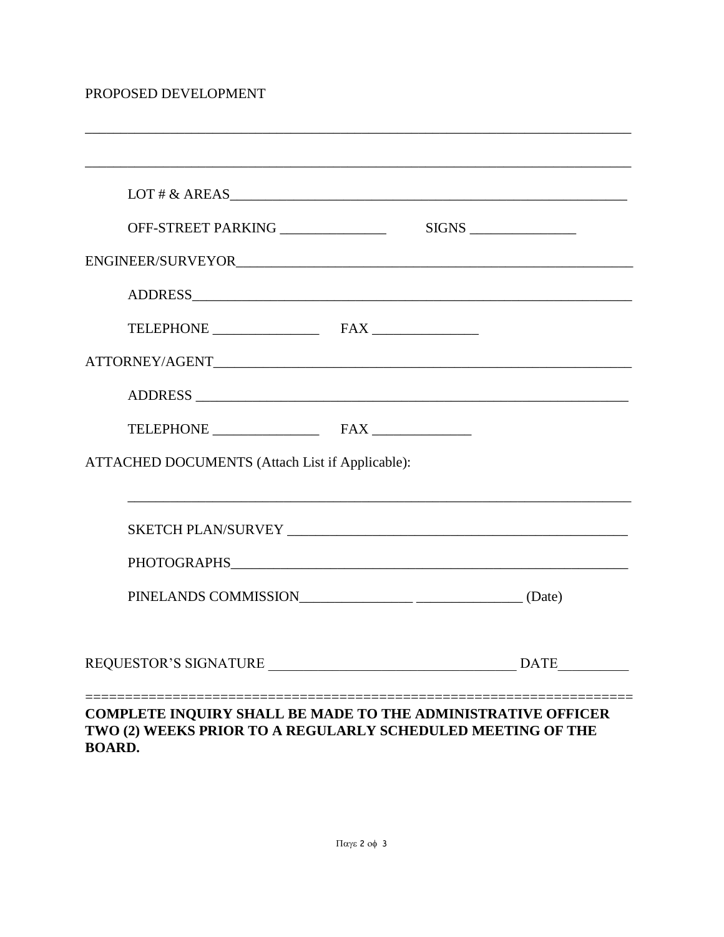### PROPOSED DEVELOPMENT

| LOT # $&$ AREAS                                 |
|-------------------------------------------------|
| OFF-STREET PARKING _______________              |
|                                                 |
|                                                 |
|                                                 |
|                                                 |
|                                                 |
|                                                 |
| ATTACHED DOCUMENTS (Attach List if Applicable): |
|                                                 |
|                                                 |
|                                                 |
|                                                 |
|                                                 |

#### **COMPLETE INQUIRY SHALL BE MADE TO THE ADMINISTRATIVE OFFICER** TWO (2) WEEKS PRIOR TO A REGULARLY SCHEDULED MEETING OF THE **BOARD.**